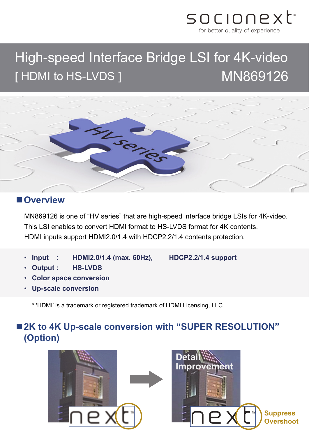

# High-speed Interface Bridge LSI for 4K-video [HDMI to HS-LVDS ] MN869126



#### **Overview**

MN869126 is one of "HV series" that are high-speed interface bridge LSIs for 4K-video. This LSI enables to convert HDMI format to HS-LVDS format for 4K contents. HDMI inputs support HDMI2.0/1.4 with HDCP2.2/1.4 contents protection.

• **Input : HDMI2.0/1.4 (max. 60Hz), HDCP2.2/1.4 support**

- **Output : HS-LVDS**
- **Color space conversion**
- **Up-scale conversion**

\* 'HDMI' is a trademark or registered trademark of HDMI Licensing, LLC.

### ■ 2K to 4K Up-scale conversion with "SUPER RESOLUTION" **(Option)**